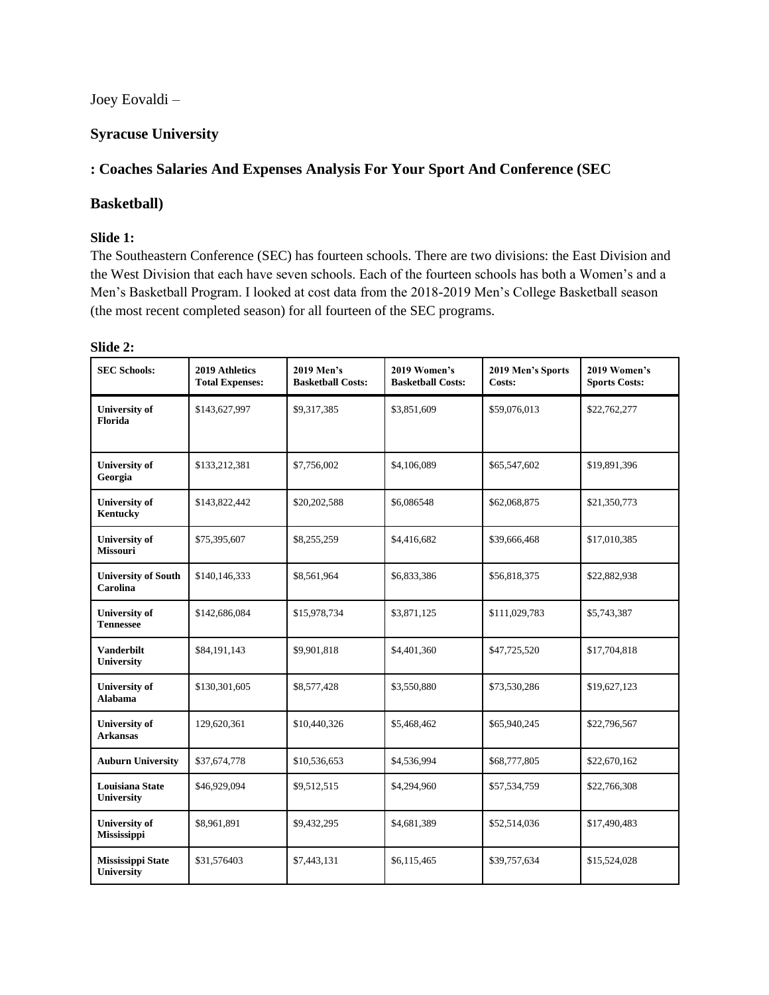Joey Eovaldi –

## **Syracuse University**

# **: Coaches Salaries And Expenses Analysis For Your Sport And Conference (SEC**

### **Basketball)**

### **Slide 1:**

The Southeastern Conference (SEC) has fourteen schools. There are two divisions: the East Division and the West Division that each have seven schools. Each of the fourteen schools has both a Women's and a Men's Basketball Program. I looked at cost data from the 2018-2019 Men's College Basketball season (the most recent completed season) for all fourteen of the SEC programs.

| <b>SEC Schools:</b>                        | 2019 Athletics<br><b>Total Expenses:</b> | 2019 Men's<br><b>Basketball Costs:</b> | 2019 Women's<br><b>Basketball Costs:</b> | 2019 Men's Sports<br>Costs: | 2019 Women's<br><b>Sports Costs:</b> |
|--------------------------------------------|------------------------------------------|----------------------------------------|------------------------------------------|-----------------------------|--------------------------------------|
| <b>University of</b><br>Florida            | \$143,627,997                            | \$9,317,385                            | \$3,851,609                              | \$59,076,013                | \$22,762,277                         |
| <b>University of</b><br>Georgia            | \$133,212,381                            | \$7,756,002                            | \$4,106,089                              | \$65,547,602                | \$19,891,396                         |
| <b>University of</b><br>Kentucky           | \$143,822,442                            | \$20,202,588                           | \$6,086548                               | \$62,068,875                | \$21,350,773                         |
| <b>University of</b><br><b>Missouri</b>    | \$75,395,607                             | \$8,255,259                            | \$4,416,682                              | \$39,666,468                | \$17,010,385                         |
| <b>University of South</b><br>Carolina     | \$140,146,333                            | \$8,561,964                            | \$6,833,386                              | \$56,818,375                | \$22,882,938                         |
| <b>University of</b><br><b>Tennessee</b>   | \$142,686,084                            | \$15,978,734                           | \$3,871,125                              | \$111,029,783               | \$5,743,387                          |
| Vanderbilt<br><b>University</b>            | \$84,191,143                             | \$9,901,818                            | \$4,401,360                              | \$47,725,520                | \$17,704,818                         |
| <b>University of</b><br>Alabama            | \$130,301,605                            | \$8,577,428                            | \$3,550,880                              | \$73,530,286                | \$19,627,123                         |
| <b>University of</b><br><b>Arkansas</b>    | 129,620,361                              | \$10,440,326                           | \$5,468,462                              | \$65,940,245                | \$22,796,567                         |
| <b>Auburn University</b>                   | \$37,674,778                             | \$10,536,653                           | \$4,536,994                              | \$68,777,805                | \$22,670,162                         |
| <b>Louisiana State</b><br>University       | \$46,929,094                             | \$9,512,515                            | \$4,294,960                              | \$57,534,759                | \$22,766,308                         |
| <b>University of</b><br><b>Mississippi</b> | \$8,961,891                              | \$9,432,295                            | \$4,681,389                              | \$52,514,036                | \$17,490,483                         |
| <b>Mississippi State</b>                   | \$31,576403                              | \$7,443,131                            | \$6,115,465                              | \$39,757,634                | \$15,524,028                         |

## **Slide 2:**

**University**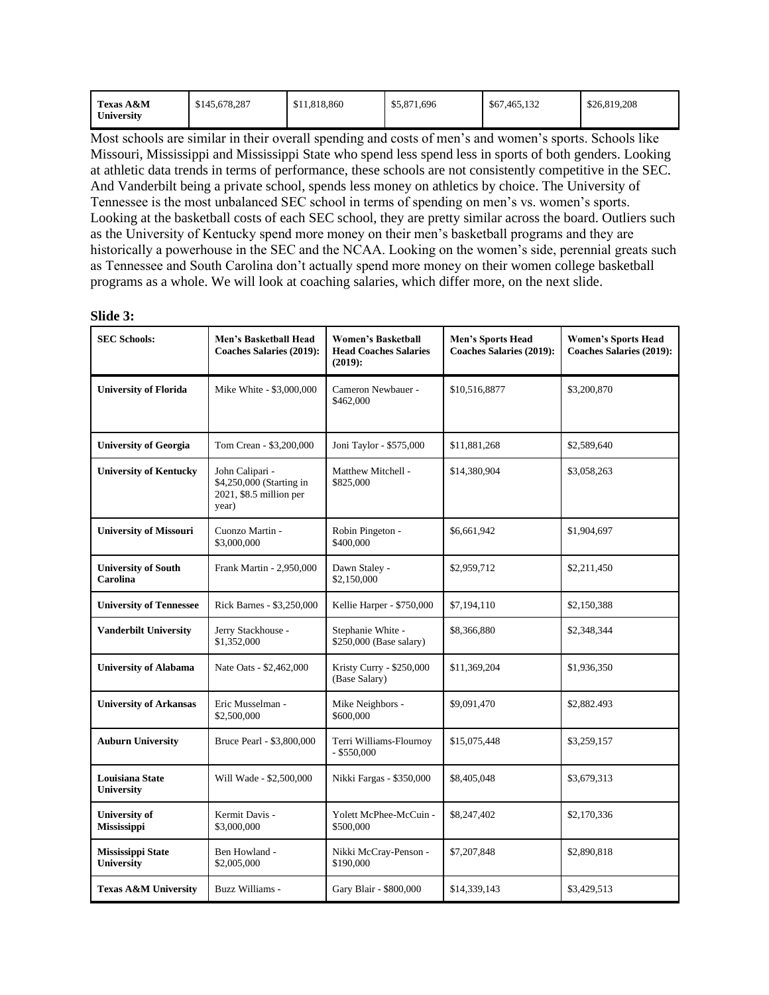| Texas A&M  | \$145,678,287 | \$11,818,860 | \$5,871,696 | \$67,465,132 | \$26,819,208 |
|------------|---------------|--------------|-------------|--------------|--------------|
| University |               |              |             |              |              |

Most schools are similar in their overall spending and costs of men's and women's sports. Schools like Missouri, Mississippi and Mississippi State who spend less spend less in sports of both genders. Looking at athletic data trends in terms of performance, these schools are not consistently competitive in the SEC. And Vanderbilt being a private school, spends less money on athletics by choice. The University of Tennessee is the most unbalanced SEC school in terms of spending on men's vs. women's sports. Looking at the basketball costs of each SEC school, they are pretty similar across the board. Outliers such as the University of Kentucky spend more money on their men's basketball programs and they are historically a powerhouse in the SEC and the NCAA. Looking on the women's side, perennial greats such as Tennessee and South Carolina don't actually spend more money on their women college basketball programs as a whole. We will look at coaching salaries, which differ more, on the next slide.

| <b>SEC Schools:</b>                         | Men's Basketball Head<br><b>Coaches Salaries (2019):</b>                        | <b>Women's Basketball</b><br><b>Head Coaches Salaries</b><br>$(2019)$ : | <b>Men's Sports Head</b><br><b>Coaches Salaries (2019):</b> | <b>Women's Sports Head</b><br><b>Coaches Salaries (2019):</b> |
|---------------------------------------------|---------------------------------------------------------------------------------|-------------------------------------------------------------------------|-------------------------------------------------------------|---------------------------------------------------------------|
| <b>University of Florida</b>                | Mike White - \$3,000,000                                                        | Cameron Newbauer -<br>\$462,000                                         | \$10,516,8877                                               | \$3,200,870                                                   |
| <b>University of Georgia</b>                | Tom Crean - \$3,200,000                                                         | Joni Taylor - \$575,000                                                 | \$11,881,268                                                | \$2,589,640                                                   |
| <b>University of Kentucky</b>               | John Calipari -<br>\$4,250,000 (Starting in<br>2021, \$8.5 million per<br>year) | Matthew Mitchell -<br>\$825,000                                         | \$14,380,904                                                | \$3,058,263                                                   |
| <b>University of Missouri</b>               | Cuonzo Martin -<br>\$3,000,000                                                  | Robin Pingeton -<br>\$400,000                                           | \$6,661,942                                                 | \$1,904,697                                                   |
| <b>University of South</b><br>Carolina      | Frank Martin - 2,950,000                                                        | Dawn Staley -<br>\$2,150,000                                            | \$2,959,712                                                 | \$2,211,450                                                   |
| <b>University of Tennessee</b>              | Rick Barnes - \$3,250,000                                                       | Kellie Harper - \$750,000                                               | \$7,194,110                                                 | \$2,150,388                                                   |
| <b>Vanderbilt University</b>                | Jerry Stackhouse -<br>\$1,352,000                                               | Stephanie White -<br>\$250,000 (Base salary)                            | \$8,366,880                                                 | \$2,348,344                                                   |
| <b>University of Alabama</b>                | Nate Oats - \$2,462,000                                                         | Kristy Curry - \$250,000<br>(Base Salary)                               | \$11,369,204                                                | \$1,936,350                                                   |
| <b>University of Arkansas</b>               | Eric Musselman -<br>\$2,500,000                                                 | Mike Neighbors -<br>\$600,000                                           | \$9,091,470                                                 | \$2,882.493                                                   |
| <b>Auburn University</b>                    | Bruce Pearl - \$3,800,000                                                       | Terri Williams-Flournoy<br>$-$ \$550,000                                | \$15,075,448                                                | \$3,259,157                                                   |
| <b>Louisiana State</b><br><b>University</b> | Will Wade - \$2,500,000                                                         | Nikki Fargas - \$350,000                                                | \$8,405,048                                                 | \$3,679,313                                                   |
| <b>University of</b><br><b>Mississippi</b>  | Kermit Davis -<br>\$3,000,000                                                   | Yolett McPhee-McCuin -<br>\$500,000                                     | \$8,247,402                                                 | \$2,170,336                                                   |
| <b>Mississippi State</b><br>University      | Ben Howland -<br>\$2,005,000                                                    | Nikki McCray-Penson -<br>\$190,000                                      | \$7,207,848                                                 | \$2,890,818                                                   |
| <b>Texas A&amp;M University</b>             | Buzz Williams -                                                                 | Gary Blair - \$800,000                                                  | \$14,339,143                                                | \$3,429,513                                                   |